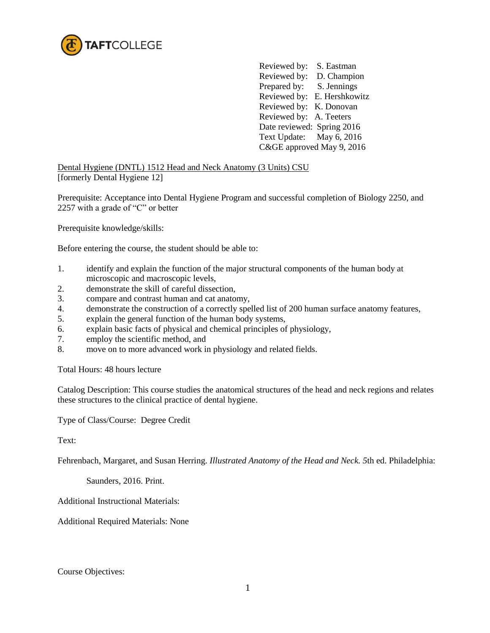

Reviewed by: S. Eastman Reviewed by: D. Champion Prepared by: S. Jennings Reviewed by: E. Hershkowitz Reviewed by: K. Donovan Reviewed by: A. Teeters Date reviewed: Spring 2016 Text Update: May 6, 2016 C&GE approved May 9, 2016

Dental Hygiene (DNTL) 1512 Head and Neck Anatomy (3 Units) CSU [formerly Dental Hygiene 12]

Prerequisite: Acceptance into Dental Hygiene Program and successful completion of Biology 2250, and 2257 with a grade of "C" or better

Prerequisite knowledge/skills:

Before entering the course, the student should be able to:

- 1. identify and explain the function of the major structural components of the human body at microscopic and macroscopic levels,
- 2. demonstrate the skill of careful dissection,
- 3. compare and contrast human and cat anatomy,
- 4. demonstrate the construction of a correctly spelled list of 200 human surface anatomy features,
- 5. explain the general function of the human body systems,
- 6. explain basic facts of physical and chemical principles of physiology,
- 7. employ the scientific method, and
- 8. move on to more advanced work in physiology and related fields.

Total Hours: 48 hours lecture

Catalog Description: This course studies the anatomical structures of the head and neck regions and relates these structures to the clinical practice of dental hygiene.

Type of Class/Course: Degree Credit

Text:

Fehrenbach, Margaret, and Susan Herring. *Illustrated Anatomy of the Head and Neck. 5*th ed. Philadelphia:

Saunders, 2016. Print.

Additional Instructional Materials:

Additional Required Materials: None

Course Objectives: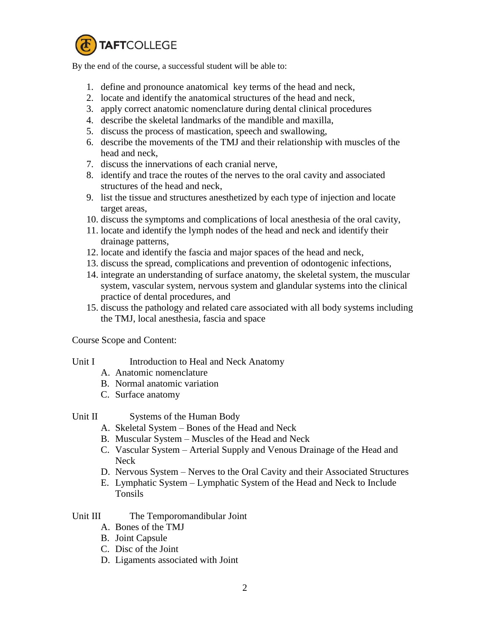

By the end of the course, a successful student will be able to:

- 1. define and pronounce anatomical key terms of the head and neck,
- 2. locate and identify the anatomical structures of the head and neck,
- 3. apply correct anatomic nomenclature during dental clinical procedures
- 4. describe the skeletal landmarks of the mandible and maxilla,
- 5. discuss the process of mastication, speech and swallowing,
- 6. describe the movements of the TMJ and their relationship with muscles of the head and neck,
- 7. discuss the innervations of each cranial nerve,
- 8. identify and trace the routes of the nerves to the oral cavity and associated structures of the head and neck,
- 9. list the tissue and structures anesthetized by each type of injection and locate target areas,
- 10. discuss the symptoms and complications of local anesthesia of the oral cavity,
- 11. locate and identify the lymph nodes of the head and neck and identify their drainage patterns,
- 12. locate and identify the fascia and major spaces of the head and neck,
- 13. discuss the spread, complications and prevention of odontogenic infections,
- 14. integrate an understanding of surface anatomy, the skeletal system, the muscular system, vascular system, nervous system and glandular systems into the clinical practice of dental procedures, and
- 15. discuss the pathology and related care associated with all body systems including the TMJ, local anesthesia, fascia and space

Course Scope and Content:

- Unit I Introduction to Heal and Neck Anatomy
	- A. Anatomic nomenclature
	- B. Normal anatomic variation
	- C. Surface anatomy
- Unit II Systems of the Human Body
	- A. Skeletal System Bones of the Head and Neck
	- B. Muscular System Muscles of the Head and Neck
	- C. Vascular System Arterial Supply and Venous Drainage of the Head and Neck
	- D. Nervous System Nerves to the Oral Cavity and their Associated Structures
	- E. Lymphatic System Lymphatic System of the Head and Neck to Include Tonsils

## Unit III The Temporomandibular Joint

- A. Bones of the TMJ
- B. Joint Capsule
- C. Disc of the Joint
- D. Ligaments associated with Joint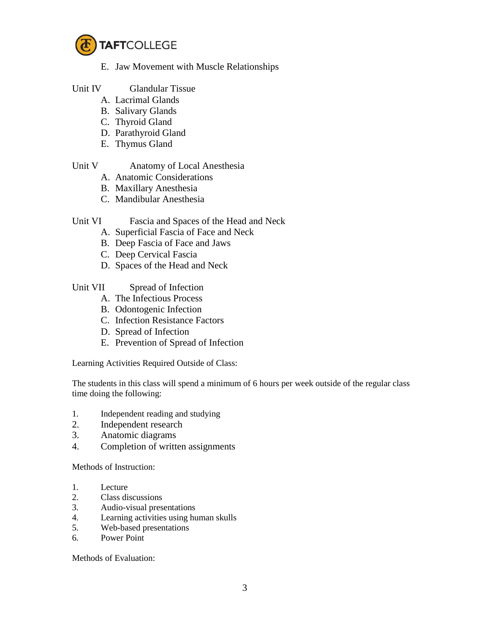

- E. Jaw Movement with Muscle Relationships
- Unit IV Glandular Tissue
	- A. Lacrimal Glands
	- B. Salivary Glands
	- C. Thyroid Gland
	- D. Parathyroid Gland
	- E. Thymus Gland

- Unit V Anatomy of Local Anesthesia
	- A. Anatomic Considerations
	- B. Maxillary Anesthesia
	- C. Mandibular Anesthesia

## Unit VI Fascia and Spaces of the Head and Neck

- A. Superficial Fascia of Face and Neck
- B. Deep Fascia of Face and Jaws
- C. Deep Cervical Fascia
- D. Spaces of the Head and Neck
- Unit VII Spread of Infection
	- A. The Infectious Process
	- B. Odontogenic Infection
	- C. Infection Resistance Factors
	- D. Spread of Infection
	- E. Prevention of Spread of Infection

Learning Activities Required Outside of Class:

The students in this class will spend a minimum of 6 hours per week outside of the regular class time doing the following:

- 1. Independent reading and studying
- 2. Independent research
- 3. Anatomic diagrams
- 4. Completion of written assignments

Methods of Instruction:

- 1. Lecture
- 2. Class discussions
- 3. Audio-visual presentations
- 4. Learning activities using human skulls
- 5. Web-based presentations
- 6. Power Point

Methods of Evaluation: